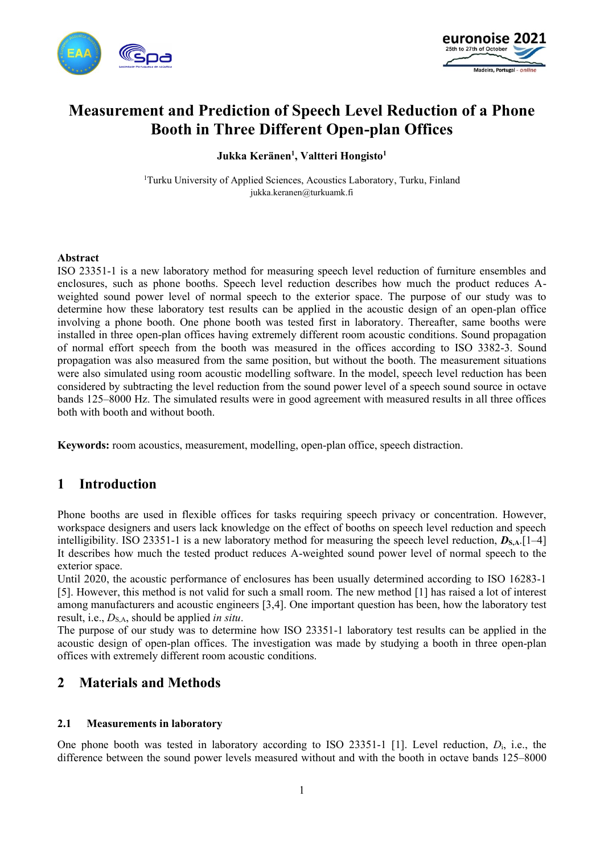



# **Measurement and Prediction of Speech Level Reduction of a Phone Booth in Three Different Open-plan Offices**

**Jukka Keränen<sup>1</sup> , Valtteri Hongisto<sup>1</sup>**

<sup>1</sup>Turku University of Applied Sciences, Acoustics Laboratory, Turku, Finland jukka.keranen@turkuamk.fi

#### **Abstract**

ISO 23351-1 is a new laboratory method for measuring speech level reduction of furniture ensembles and enclosures, such as phone booths. Speech level reduction describes how much the product reduces Aweighted sound power level of normal speech to the exterior space. The purpose of our study was to determine how these laboratory test results can be applied in the acoustic design of an open-plan office involving a phone booth. One phone booth was tested first in laboratory. Thereafter, same booths were installed in three open-plan offices having extremely different room acoustic conditions. Sound propagation of normal effort speech from the booth was measured in the offices according to ISO 3382-3. Sound propagation was also measured from the same position, but without the booth. The measurement situations were also simulated using room acoustic modelling software. In the model, speech level reduction has been considered by subtracting the level reduction from the sound power level of a speech sound source in octave bands 125–8000 Hz. The simulated results were in good agreement with measured results in all three offices both with booth and without booth.

**Keywords:** room acoustics, measurement, modelling, open-plan office, speech distraction.

# **1 Introduction**

Phone booths are used in flexible offices for tasks requiring speech privacy or concentration. However, workspace designers and users lack knowledge on the effect of booths on speech level reduction and speech intelligibility. ISO 23351-1 is a new laboratory method for measuring the speech level reduction,  $D_{\text{S.A.}}[1-4]$ It describes how much the tested product reduces A-weighted sound power level of normal speech to the exterior space.

Until 2020, the acoustic performance of enclosures has been usually determined according to ISO 16283-1 [5]. However, this method is not valid for such a small room. The new method [1] has raised a lot of interest among manufacturers and acoustic engineers [3,4]. One important question has been, how the laboratory test result, i.e.,  $D_{S,A}$ , should be applied *in situ*.

The purpose of our study was to determine how ISO 23351-1 laboratory test results can be applied in the acoustic design of open-plan offices. The investigation was made by studying a booth in three open-plan offices with extremely different room acoustic conditions.

# **2 Materials and Methods**

#### **2.1 Measurements in laboratory**

One phone booth was tested in laboratory according to ISO 23351-1 [1]. Level reduction, *D*i, i.e., the difference between the sound power levels measured without and with the booth in octave bands 125–8000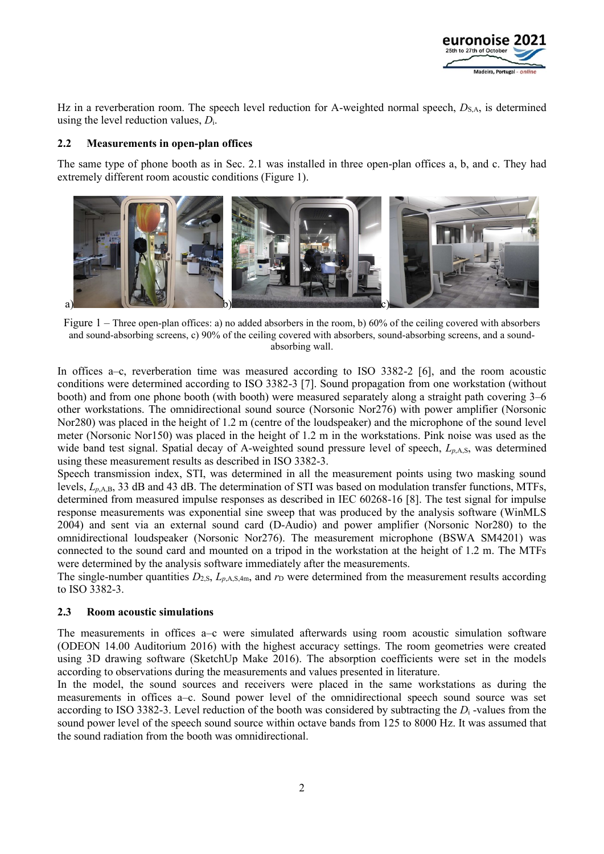

Hz in a reverberation room. The speech level reduction for A-weighted normal speech,  $D_{\rm SA}$ , is determined using the level reduction values, *D*i.

#### **2.2 Measurements in open-plan offices**

The same type of phone booth as in Sec. 2.1 was installed in three open-plan offices a, b, and c. They had extremely different room acoustic conditions (Figure 1).



Figure 1 – Three open-plan offices: a) no added absorbers in the room, b) 60% of the ceiling covered with absorbers and sound-absorbing screens, c) 90% of the ceiling covered with absorbers, sound-absorbing screens, and a soundabsorbing wall.

In offices a–c, reverberation time was measured according to ISO 3382-2 [6], and the room acoustic conditions were determined according to ISO 3382-3 [7]. Sound propagation from one workstation (without booth) and from one phone booth (with booth) were measured separately along a straight path covering 3–6 other workstations. The omnidirectional sound source (Norsonic Nor276) with power amplifier (Norsonic Nor280) was placed in the height of 1.2 m (centre of the loudspeaker) and the microphone of the sound level meter (Norsonic Nor150) was placed in the height of 1.2 m in the workstations. Pink noise was used as the wide band test signal. Spatial decay of A-weighted sound pressure level of speech,  $L_{p,A,S}$ , was determined using these measurement results as described in ISO 3382-3.

Speech transmission index, STI, was determined in all the measurement points using two masking sound levels, *Lp*,A,B, 33 dB and 43 dB. The determination of STI was based on modulation transfer functions, MTFs, determined from measured impulse responses as described in IEC 60268-16 [8]. The test signal for impulse response measurements was exponential sine sweep that was produced by the analysis software (WinMLS 2004) and sent via an external sound card (D-Audio) and power amplifier (Norsonic Nor280) to the omnidirectional loudspeaker (Norsonic Nor276). The measurement microphone (BSWA SM4201) was connected to the sound card and mounted on a tripod in the workstation at the height of 1.2 m. The MTFs were determined by the analysis software immediately after the measurements.

The single-number quantities  $D_{2,S}$ ,  $L_{p,A,S,4m}$ , and  $r_D$  were determined from the measurement results according to ISO 3382-3.

#### **2.3 Room acoustic simulations**

The measurements in offices a–c were simulated afterwards using room acoustic simulation software (ODEON 14.00 Auditorium 2016) with the highest accuracy settings. The room geometries were created using 3D drawing software (SketchUp Make 2016). The absorption coefficients were set in the models according to observations during the measurements and values presented in literature.

In the model, the sound sources and receivers were placed in the same workstations as during the measurements in offices a–c. Sound power level of the omnidirectional speech sound source was set according to ISO 3382-3. Level reduction of the booth was considered by subtracting the *D*<sup>i</sup> -values from the sound power level of the speech sound source within octave bands from 125 to 8000 Hz. It was assumed that the sound radiation from the booth was omnidirectional.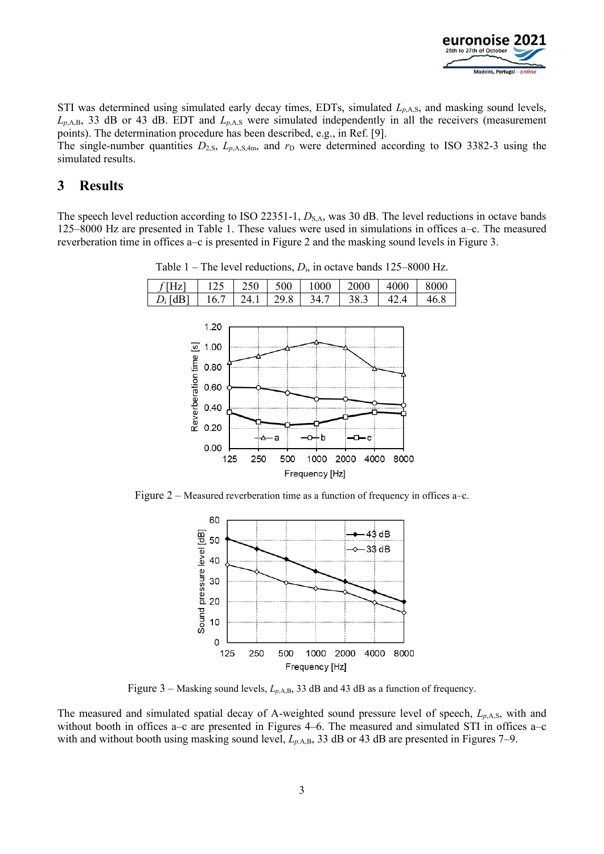

STI was determined using simulated early decay times, EDTs, simulated  $L_{p,A,S}$ , and masking sound levels, *Lp*,A,B, 33 dB or 43 dB. EDT and *Lp*,A,S were simulated independently in all the receivers (measurement points). The determination procedure has been described, e.g., in Ref. [9].

The single-number quantities  $D_{2,S}$ ,  $L_{p,A,S,4m}$ , and  $r_D$  were determined according to ISO 3382-3 using the simulated results.

### **3 Results**

The speech level reduction according to ISO 22351-1, *D*<sub>S,A</sub>, was 30 dB. The level reductions in octave bands 125–8000 Hz are presented in Table 1. These values were used in simulations in offices a–c. The measured reverberation time in offices a–c is presented in Figure 2 and the masking sound levels in Figure 3.



Table 1 – The level reductions,  $D_i$ , in octave bands 125–8000 Hz.

Figure 2 – Measured reverberation time as a function of frequency in offices a–c.



Figure 3 – Masking sound levels, *Lp,*A,B, 33 dB and 43 dB as a function of frequency.

The measured and simulated spatial decay of A-weighted sound pressure level of speech, *Lp*,A,S, with and without booth in offices a–c are presented in Figures 4–6. The measured and simulated STI in offices a–c with and without booth using masking sound level,  $L_{p,A,B}$ , 33 dB or 43 dB are presented in Figures 7–9.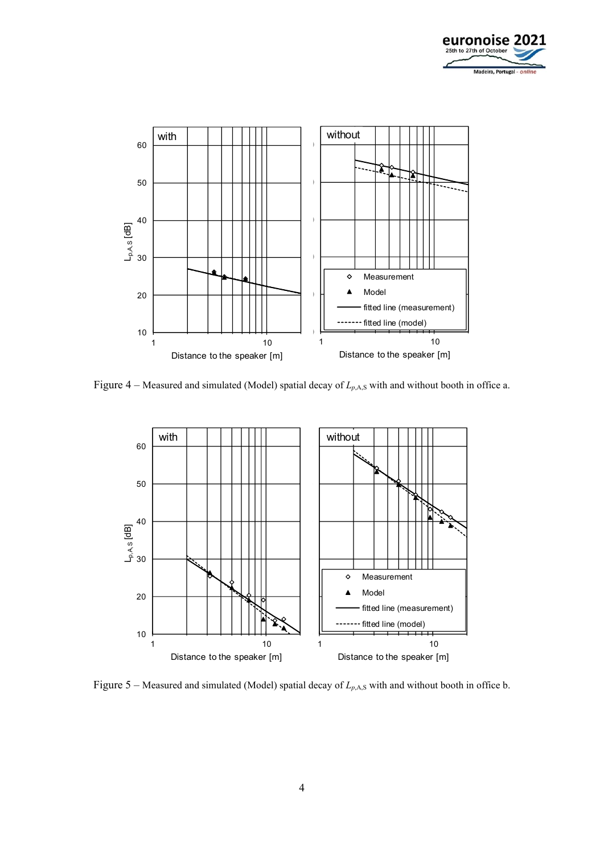



Figure 4 – Measured and simulated (Model) spatial decay of  $L_{p,A,S}$  with and without booth in office a.



Figure 5 – Measured and simulated (Model) spatial decay of  $L_{p,A,S}$  with and without booth in office b.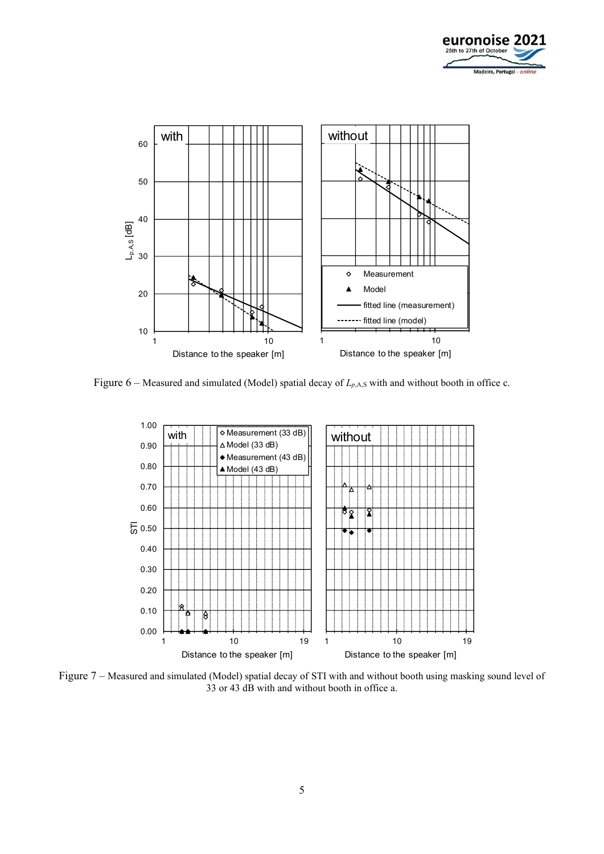



Figure  $6$  – Measured and simulated (Model) spatial decay of  $L_{p,A,S}$  with and without booth in office c.



Figure 7 – Measured and simulated (Model) spatial decay of STI with and without booth using masking sound level of 33 or 43 dB with and without booth in office a.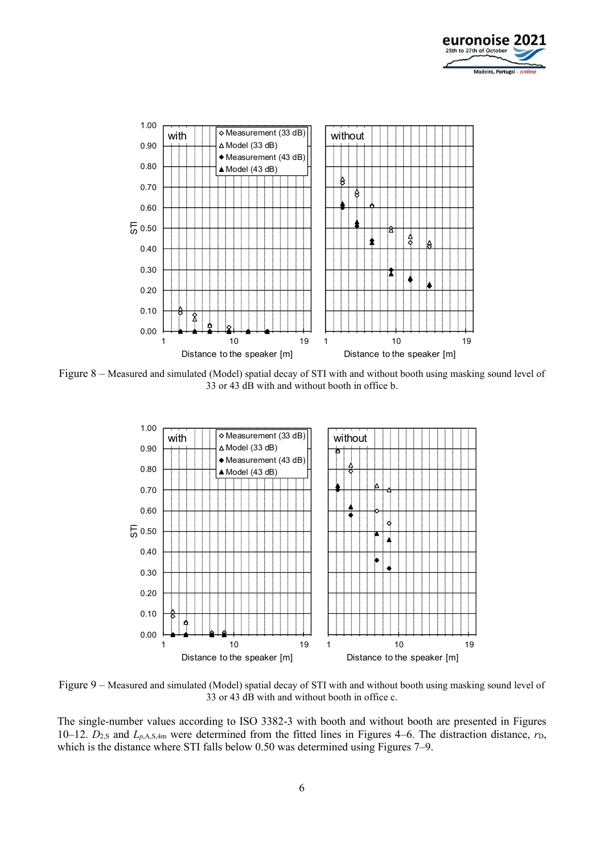



Figure 8 – Measured and simulated (Model) spatial decay of STI with and without booth using masking sound level of 33 or 43 dB with and without booth in office b.



Figure 9 – Measured and simulated (Model) spatial decay of STI with and without booth using masking sound level of 33 or 43 dB with and without booth in office c.

The single-number values according to ISO 3382-3 with booth and without booth are presented in Figures 10–12.  $D_{2,S}$  and  $L_{p,A,S,4m}$  were determined from the fitted lines in Figures 4–6. The distraction distance,  $r_D$ , which is the distance where STI falls below 0.50 was determined using Figures 7–9.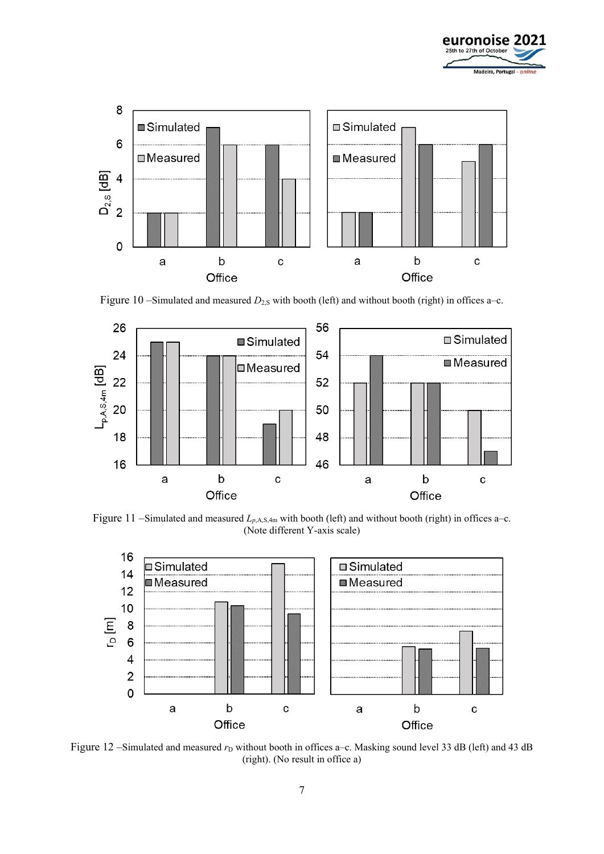



Figure 10 –Simulated and measured  $D_{2,S}$  with booth (left) and without booth (right) in offices a–c.



Figure 11 –Simulated and measured  $L_{p,A,S,4m}$  with booth (left) and without booth (right) in offices a–c. (Note different Y-axis scale)



Figure 12 –Simulated and measured  $r<sub>D</sub>$  without booth in offices a–c. Masking sound level 33 dB (left) and 43 dB (right). (No result in office a)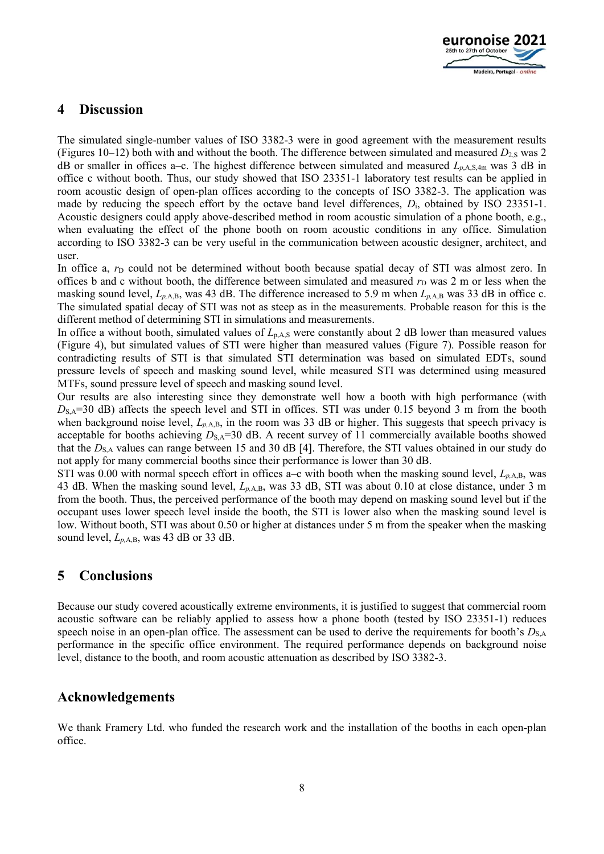

### **4 Discussion**

The simulated single-number values of ISO 3382-3 were in good agreement with the measurement results (Figures 10–12) both with and without the booth. The difference between simulated and measured  $D_{2.5}$  was 2 dB or smaller in offices a–c. The highest difference between simulated and measured  $L_{p,A,S,4m}$  was 3 dB in office c without booth. Thus, our study showed that ISO 23351-1 laboratory test results can be applied in room acoustic design of open-plan offices according to the concepts of ISO 3382-3. The application was made by reducing the speech effort by the octave band level differences, *D*i, obtained by ISO 23351-1. Acoustic designers could apply above-described method in room acoustic simulation of a phone booth, e.g., when evaluating the effect of the phone booth on room acoustic conditions in any office. Simulation according to ISO 3382-3 can be very useful in the communication between acoustic designer, architect, and user.

In office a,  $r<sub>D</sub>$  could not be determined without booth because spatial decay of STI was almost zero. In offices b and c without booth, the difference between simulated and measured  $r<sub>D</sub>$  was 2 m or less when the masking sound level, *Lp,*A,B, was 43 dB. The difference increased to 5.9 m when *Lp,*A,B was 33 dB in office c. The simulated spatial decay of STI was not as steep as in the measurements. Probable reason for this is the different method of determining STI in simulations and measurements.

In office a without booth, simulated values of  $L_{p,AS}$  were constantly about 2 dB lower than measured values (Figure 4), but simulated values of STI were higher than measured values (Figure 7). Possible reason for contradicting results of STI is that simulated STI determination was based on simulated EDTs, sound pressure levels of speech and masking sound level, while measured STI was determined using measured MTFs, sound pressure level of speech and masking sound level.

Our results are also interesting since they demonstrate well how a booth with high performance (with  $D_{S,A}=30$  dB) affects the speech level and STI in offices. STI was under 0.15 beyond 3 m from the booth when background noise level,  $L_{p,A,B}$ , in the room was 33 dB or higher. This suggests that speech privacy is acceptable for booths achieving  $D_{S,A}=30$  dB. A recent survey of 11 commercially available booths showed that the *D*<sub>S,A</sub> values can range between 15 and 30 dB [4]. Therefore, the STI values obtained in our study do not apply for many commercial booths since their performance is lower than 30 dB.

STI was 0.00 with normal speech effort in offices a–c with booth when the masking sound level, *Lp,*A,B, was 43 dB. When the masking sound level, *Lp,*A,B, was 33 dB, STI was about 0.10 at close distance, under 3 m from the booth. Thus, the perceived performance of the booth may depend on masking sound level but if the occupant uses lower speech level inside the booth, the STI is lower also when the masking sound level is low. Without booth, STI was about 0.50 or higher at distances under 5 m from the speaker when the masking sound level, *Lp,*A,B, was 43 dB or 33 dB.

# **5 Conclusions**

Because our study covered acoustically extreme environments, it is justified to suggest that commercial room acoustic software can be reliably applied to assess how a phone booth (tested by ISO 23351-1) reduces speech noise in an open-plan office. The assessment can be used to derive the requirements for booth's  $D_{\text{SA}}$ performance in the specific office environment. The required performance depends on background noise level, distance to the booth, and room acoustic attenuation as described by ISO 3382-3.

### **Acknowledgements**

We thank Framery Ltd. who funded the research work and the installation of the booths in each open-plan office.